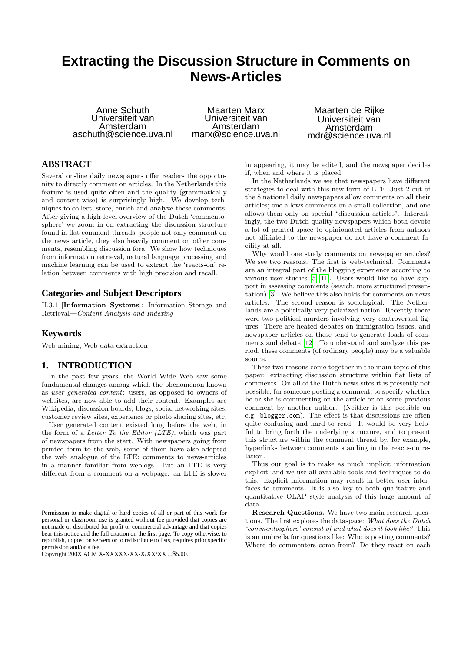# **Extracting the Discussion Structure in Comments on News-Articles**

Anne Schuth Universiteit van Amsterdam aschuth@science.uva.nl

Maarten Marx Universiteit van Amsterdam marx@science.uva.nl

Maarten de Rijke Universiteit van Amsterdam mdr@science.uva.nl

# **ABSTRACT**

Several on-line daily newspapers offer readers the opportunity to directly comment on articles. In the Netherlands this feature is used quite often and the quality (grammatically and content-wise) is surprisingly high. We develop techniques to collect, store, enrich and analyze these comments. After giving a high-level overview of the Dutch 'commentosphere' we zoom in on extracting the discussion structure found in flat comment threads; people not only comment on the news article, they also heavily comment on other comments, resembling discussion fora. We show how techniques from information retrieval, natural language processing and machine learning can be used to extract the 'reacts-on' relation between comments with high precision and recall.

# **Categories and Subject Descriptors**

H.3.1 [Information Systems]: Information Storage and Retrieval—Content Analysis and Indexing

# **Keywords**

Web mining, Web data extraction

# **1. INTRODUCTION**

In the past few years, the World Wide Web saw some fundamental changes among which the phenomenon known as user generated content: users, as opposed to owners of websites, are now able to add their content. Examples are Wikipedia, discussion boards, blogs, social networking sites, customer review sites, experience or photo sharing sites, etc.

User generated content existed long before the web, in the form of a Letter To the Editor (LTE), which was part of newspapers from the start. With newspapers going from printed form to the web, some of them have also adopted the web analogue of the LTE: comments to news-articles in a manner familiar from weblogs. But an LTE is very different from a comment on a webpage: an LTE is slower

in appearing, it may be edited, and the newspaper decides if, when and where it is placed.

In the Netherlands we see that newspapers have different strategies to deal with this new form of LTE. Just 2 out of the 8 national daily newspapers allow comments on all their articles; one allows comments on a small collection, and one allows them only on special "discussion articles". Interestingly, the two Dutch quality newspapers which both devote a lot of printed space to opinionated articles from authors not affiliated to the newspaper do not have a comment facility at all.

Why would one study comments on newspaper articles? We see two reasons. The first is web-technical. Comments are an integral part of the blogging experience according to various user studies [\[5,](#page-7-0) [11\]](#page-7-1). Users would like to have support in assessing comments (search, more structured presentation) [\[3\]](#page-7-2). We believe this also holds for comments on news articles. The second reason is sociological. The Netherlands are a politically very polarized nation. Recently there were two political murders involving very controversial figures. There are heated debates on immigration issues, and newspaper articles on these tend to generate loads of comments and debate [\[12\]](#page-7-3). To understand and analyze this period, these comments (of ordinary people) may be a valuable source.

These two reasons come together in the main topic of this paper: extracting discussion structure within flat lists of comments. On all of the Dutch news-sites it is presently not possible, for someone posting a comment, to specify whether he or she is commenting on the article or on some previous comment by another author. (Neither is this possible on e.g. blogger.com). The effect is that discussions are often quite confusing and hard to read. It would be very helpful to bring forth the underlying structure, and to present this structure within the comment thread by, for example, hyperlinks between comments standing in the reacts-on relation.

Thus our goal is to make as much implicit information explicit, and we use all available tools and techniques to do this. Explicit information may result in better user interfaces to comments. It is also key to both qualitative and quantitative OLAP style analysis of this huge amount of data.

Research Questions. We have two main research questions. The first explores the dataspace: What does the Dutch 'commentosphere' consist of and what does it look like? This is an umbrella for questions like: Who is posting comments? Where do commenters come from? Do they react on each

Permission to make digital or hard copies of all or part of this work for personal or classroom use is granted without fee provided that copies are not made or distributed for profit or commercial advantage and that copies bear this notice and the full citation on the first page. To copy otherwise, to republish, to post on servers or to redistribute to lists, requires prior specific permission and/or a fee.

Copyright 200X ACM X-XXXXX-XX-X/XX/XX ...\$5.00.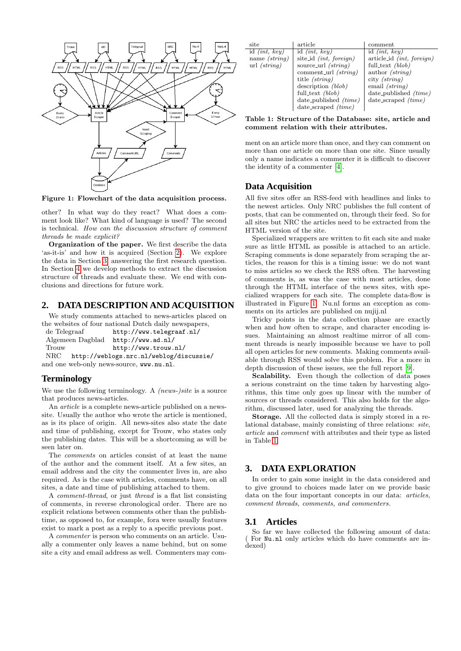

<span id="page-1-2"></span>Figure 1: Flowchart of the data acquisition process.

other? In what way do they react? What does a comment look like? What kind of language is used? The second is technical. How can the discussion structure of comment threads be made explicit?

Organization of the paper. We first describe the data 'as-it-is' and how it is acquired (Section [2\)](#page-1-0). We explore the data in Section [3,](#page-1-1) answering the first research question. In Section [4](#page-3-0) we develop methods to extract the discussion structure of threads and evaluate these. We end with conclusions and directions for future work.

# <span id="page-1-0"></span>**2. DATA DESCRIPTION AND ACQUISITION**

We study comments attached to news-articles placed on the websites of four national Dutch daily newspapers,

| de Telegraaf |                  | http://www.telegraaf.nl/                 |
|--------------|------------------|------------------------------------------|
|              | Algemeen Dagblad | http://www.add.nl/                       |
| Trouw        |                  | http://www.trouw.nl/                     |
| $\rm NRC$    |                  | http://weblogs.nrc.nl/weblog/discussie/  |
|              |                  | and one web-only news-source, www.nu.nl. |

#### **Terminology**

We use the following terminology. A *(news-)site* is a source that produces news-articles.

An *article* is a complete news-article published on a newssite. Usually the author who wrote the article is mentioned, as is its place of origin. All news-sites also state the date and time of publishing, except for Trouw, who states only the publishing dates. This will be a shortcoming as will be seen later on.

The comments on articles consist of at least the name of the author and the comment itself. At a few sites, an email address and the city the commenter lives in, are also required. As is the case with articles, comments have, on all sites, a date and time of publishing attached to them.

A comment-thread, or just thread is a flat list consisting of comments, in reverse chronological order. There are no explicit relations between comments other than the publishtime, as opposed to, for example, fora were usually features exist to mark a post as a reply to a specific previous post.

A commenter is person who comments on an article. Usually a commenter only leaves a name behind, but on some site a city and email address as well. Commenters may com-

| site                 | article                    | comment                                   |
|----------------------|----------------------------|-------------------------------------------|
| id <i>(int, key)</i> | id ( <i>int</i> , $key$ )  | id <i>(int, key)</i>                      |
| name $(strinq)$      | site_id $(int, foreign)$   | $\text{article_id}$ <i>(int. foreign)</i> |
| url $(string)$       | source_url <i>(string)</i> | full_text $(blob)$                        |
|                      | comment_url $(strinq)$     | author $(strinq)$                         |
|                      | title <i>(string)</i>      | city $(strinq)$                           |
|                      | description <i>(blob)</i>  | email $(strinq)$                          |
|                      | full_text $(blob)$         | date_published (time)                     |
|                      | date_published $(time)$    | date_scraped (time)                       |
|                      | date_scraped $(time)$      |                                           |

<span id="page-1-3"></span>Table 1: Structure of the Database: site, article and comment relation with their attributes.

ment on an article more than once, and they can comment on more than one article on more than one site. Since usually only a name indicates a commenter it is difficult to discover the identity of a commenter [\[4\]](#page-7-4).

# **Data Acquisition**

All five sites offer an RSS-feed with headlines and links to the newest articles. Only NRC publishes the full content of posts, that can be commented on, through their feed. So for all sites but NRC the articles need to be extracted from the HTML version of the site.

Specialized wrappers are written to fit each site and make sure as little HTML as possible is attached to an article. Scraping comments is done separately from scraping the articles, the reason for this is a timing issue: we do not want to miss articles so we check the RSS often. The harvesting of comments is, as was the case with most articles, done through the HTML interface of the news sites, with specialized wrappers for each site. The complete data-flow is illustrated in Figure [1.](#page-1-2) Nu.nl forms an exception as comments on its articles are published on nujij.nl

Tricky points in the data collection phase are exactly when and how often to scrape, and character encoding issues. Maintaining an almost realtime mirror of all comment threads is nearly impossible because we have to poll all open articles for new comments. Making comments available through RSS would solve this problem. For a more in depth discussion of these issues, see the full report [\[9\]](#page-7-5).

Scalability. Even though the collection of data poses a serious constraint on the time taken by harvesting algorithms, this time only goes up linear with the number of sources or threads considered. This also holds for the algorithm, discussed later, used for analyzing the threads.

Storage. All the collected data is simply stored in a relational database, mainly consisting of three relations: site, article and comment with attributes and their type as listed in Table [1.](#page-1-3)

#### <span id="page-1-1"></span>**3. DATA EXPLORATION**

In order to gain some insight in the data considered and to give ground to choices made later on we provide basic data on the four important concepts in our data: articles, comment threads, comments, and commenters.

#### **3.1 Articles**

So far we have collected the following amount of data: ( For Nu.nl only articles which do have comments are indexed)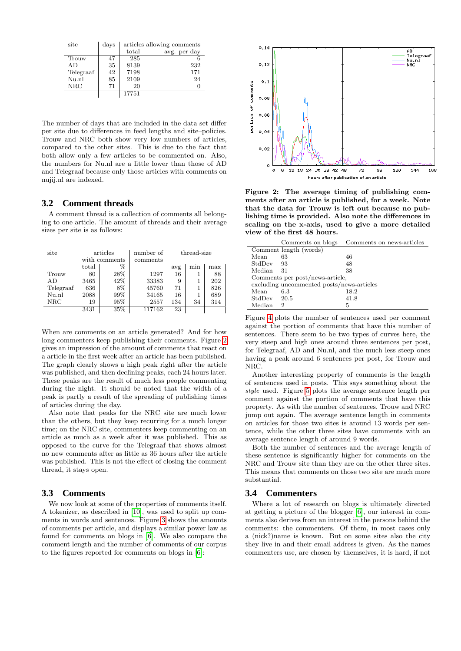| site       | days | articles allowing comments |              |  |
|------------|------|----------------------------|--------------|--|
|            |      | total                      | avg. per day |  |
| Trouw      | 47   | 285                        |              |  |
| A D        | 35   | 8139                       | 232          |  |
| Telegraaf  | 42   | 7198                       | 171          |  |
| Nu.nl      | 85   | 2109                       | 24           |  |
| <b>NRC</b> | 71   | 20                         |              |  |
|            |      | 17751                      |              |  |

The number of days that are included in the data set differ per site due to differences in feed lengths and site–policies. Trouw and NRC both show very low numbers of articles, compared to the other sites. This is due to the fact that both allow only a few articles to be commented on. Also, the numbers for Nu.nl are a little lower than those of AD and Telegraaf because only those articles with comments on nujij.nl are indexed.

# **3.2 Comment threads**

A comment thread is a collection of comments all belonging to one article. The amount of threads and their average sizes per site is as follows:

| site       | articles      |      | number of | thread-size |     |     |
|------------|---------------|------|-----------|-------------|-----|-----|
|            | with comments |      | comments  |             |     |     |
|            | total         | %    |           | avg         | min | max |
| Trouw      | 80            | 28%  | 1297      | 16          |     | 88  |
| AD         | 3465          | 42\% | 33383     | 9           |     | 202 |
| Telegraaf  | 636           | 8%   | 45760     | 71          | 1   | 826 |
| Nu.nl      | 2088          | 99%  | 34165     | 16          |     | 689 |
| <b>NRC</b> | 19            | 95%  | 2557      | 134         | 34  | 314 |
|            | 3431          | 35%  | 117162    | 23          |     |     |

When are comments on an article generated? And for how long commenters keep publishing their comments. Figure [2](#page-2-0) gives an impression of the amount of comments that react on a article in the first week after an article has been published. The graph clearly shows a high peak right after the article was published, and then declining peaks, each 24 hours later. These peaks are the result of much less people commenting during the night. It should be noted that the width of a peak is partly a result of the spreading of publishing times of articles during the day.

Also note that peaks for the NRC site are much lower than the others, but they keep recurring for a much longer time; on the NRC site, commenters keep commenting on an article as much as a week after it was published. This as opposed to the curve for the Telegraaf that shows almost no new comments after as little as 36 hours after the article was published. This is not the effect of closing the comment thread, it stays open.

# **3.3 Comments**

We now look at some of the properties of comments itself. A tokenizer, as described in [\[10\]](#page-7-6), was used to split up comments in words and sentences. Figure [3](#page-3-1) shows the amounts of comments per article, and displays a similar power law as found for comments on blogs in [\[6\]](#page-7-7). We also compare the comment length and the number of comments of our corpus to the figures reported for comments on blogs in [\[6\]](#page-7-7):



<span id="page-2-0"></span>Figure 2: The average timing of publishing comments after an article is published, for a week. Note that the data for Trouw is left out because no publishing time is provided. Also note the differences in scaling on the x-axis, used to give a more detailed view of the first 48 hours.

|             | Comments on blogs                         | Comments on news-articles |
|-------------|-------------------------------------------|---------------------------|
|             | Comment length (words)                    |                           |
| Mean        | 63                                        | 46                        |
| StdDev 93   |                                           | 48                        |
| Median      | 31                                        | 38                        |
|             | Comments per post/news-article,           |                           |
|             | excluding uncommented posts/news-articles |                           |
| Mean        | 6.3                                       | 18.2                      |
| StdDev 20.5 |                                           | 41.8                      |
| Median      | 2                                         | 5                         |

Figure [4](#page-3-2) plots the number of sentences used per comment against the portion of comments that have this number of sentences. There seem to be two types of curves here, the very steep and high ones around three sentences per post, for Telegraaf, AD and Nu.nl, and the much less steep ones having a peak around 6 sentences per post, for Trouw and NRC.

Another interesting property of comments is the length of sentences used in posts. This says something about the style used. Figure [5](#page-4-0) plots the average sentence length per comment against the portion of comments that have this property. As with the number of sentences, Trouw and NRC jump out again. The average sentence length in comments on articles for those two sites is around 13 words per sentence, while the other three sites have comments with an average sentence length of around 9 words.

Both the number of sentences and the average length of these sentence is significantly higher for comments on the NRC and Trouw site than they are on the other three sites. This means that comments on those two site are much more substantial.

# **3.4 Commenters**

Where a lot of research on blogs is ultimately directed at getting a picture of the blogger [\[6\]](#page-7-7), our interest in comments also derives from an interest in the persons behind the comments: the commenters. Of them, in most cases only a (nick?)name is known. But on some sites also the city they live in and their email address is given. As the names commenters use, are chosen by themselves, it is hard, if not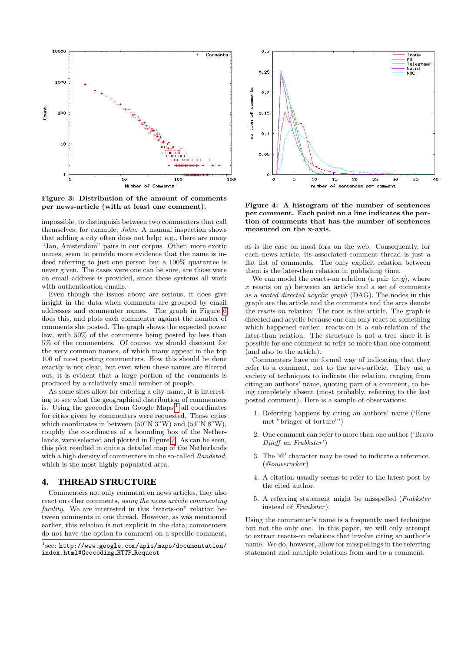

<span id="page-3-1"></span>Figure 3: Distribution of the amount of comments per news-article (with at least one comment).

impossible, to distinguish between two commenters that call themselves, for example, John. A manual inspection shows that adding a city often does not help: e.g., there are many "Jan, Amsterdam" pairs in our corpus. Other, more exotic names, seem to provide more evidence that the name is indeed referring to just one person but a 100% quarantee is never given. The cases were one can be sure, are those were an email address is provided, since these systems all work with authentication emails.

Even though the issues above are serious, it does give insight in the data when comments are grouped by email addresses and commenter names. The graph in Figure [6](#page-4-1) does this, and plots each commenter against the number of comments she posted. The graph shows the expected power law, with 50% of the comments being posted by less than 5% of the commenters. Of course, we should discount for the very common names, of which many appear in the top 100 of most posting commenters. How this should be done exactly is not clear, but even when these names are filtered out, it is evident that a large portion of the comments is produced by a relatively small number of people.

As some sites allow for entering a city-name, it is interesting to see what the geographical distribution of commenters is. Using the geocoder from Google Maps,<sup>[1](#page-3-3)</sup> all coordinates for cities given by commenters were requested. Those cities which coordinates in between  $(50°N 3°W)$  and  $(54°N 8°W)$ , roughly the coordinates of a bounding box of the Netherlands, were selected and plotted in Figure [7.](#page-4-2) As can be seen, this plot resulted in quite a detailed map of the Netherlands with a high density of commenters in the so-called Randstad, which is the most highly populated area.

# <span id="page-3-0"></span>**4. THREAD STRUCTURE**

Commenters not only comment on news articles, they also react on other comments, using the news article commenting facility. We are interested in this "reacts-on" relation between comments in one thread. However, as was mentioned earlier, this relation is not explicit in the data; commenters do not have the option to comment on a specific comment,



<span id="page-3-2"></span>Figure 4: A histogram of the number of sentences per comment. Each point on a line indicates the portion of comments that has the number of sentences measured on the x-axis.

as is the case on most fora on the web. Consequently, for each news-article, its associated comment thread is just a flat list of comments. The only explicit relation between them is the later-then relation in publishing time.

We can model the reacts-on relation (a pair  $\langle x, y \rangle$ , where x reacts on  $y$ ) between an article and a set of comments as a rooted directed acyclic graph (DAG). The nodes in this graph are the article and the comments and the arcs denote the reacts-on relation. The root is the article. The graph is directed and acyclic because one can only react on something which happened earlier: reacts-on is a sub-relation of the later-than relation. The structure is not a tree since it is possible for one comment to refer to more than one comment (and also to the article).

Commenters have no formal way of indicating that they refer to a comment, not to the news-article. They use a variety of techniques to indicate the relation, ranging from citing an authors' name, quoting part of a comment, to being completely absent (most probably, referring to the last posted comment). Here is a sample of observations:

- 1. Referring happens by citing an authors' name ('Eens met "bringer of torture"')
- 2. One comment can refer to more than one author ('Bravo Djieff en Frabkster')
- 3. The '@' character may be used to indicate a reference. (@ouwerocker)
- 4. A citation usually seems to refer to the latest post by the cited author.
- 5. A referring statement might be misspelled (Frabkster instead of Frankster).

Using the commenter's name is a frequently used technique but not the only one. In this paper, we will only attempt to extract reacts-on relations that involve citing an author's name. We do, however, allow for misspellings in the referring statement and multiple relations from and to a comment.

<span id="page-3-3"></span> $^1$ see: http://www.google.com/apis/maps/documentation/ index.html#Geocoding HTTP Request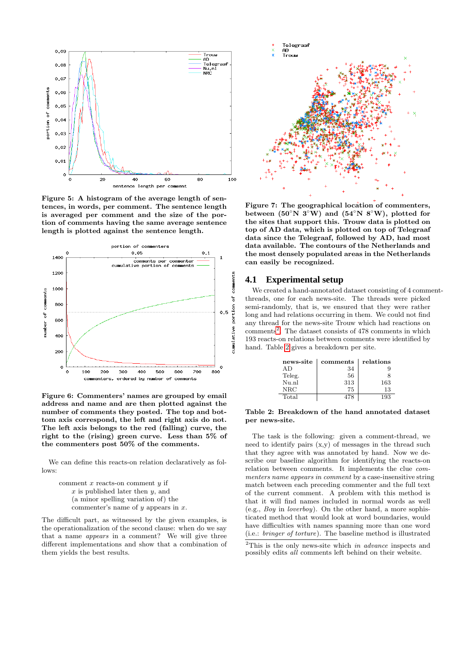

<span id="page-4-0"></span>Figure 5: A histogram of the average length of sentences, in words, per comment. The sentence length is averaged per comment and the size of the portion of comments having the same average sentence length is plotted against the sentence length.



<span id="page-4-1"></span>Figure 6: Commenters' names are grouped by email address and name and are then plotted against the number of comments they posted. The top and bottom axis correspond, the left and right axis do not. The left axis belongs to the red (falling) curve, the right to the (rising) green curve. Less than 5% of the commenters post 50% of the comments.

We can define this reacts-on relation declaratively as follows:

| comment x reacts-on comment $y$ if       |
|------------------------------------------|
| x is published later then $y$ , and      |
| (a minor spelling variation of) the      |
| commenter's name of $y$ appears in $x$ . |

The difficult part, as witnessed by the given examples, is the operationalization of the second clause: when do we say that a name appears in a comment? We will give three different implementations and show that a combination of them yields the best results.



<span id="page-4-2"></span>Figure 7: The geographical location of commenters, between (50°N 3°W) and (54°N 8°W), plotted for the sites that support this. Trouw data is plotted on top of AD data, which is plotted on top of Telegraaf data since the Telegraaf, followed by AD, had most data available. The contours of the Netherlands and the most densely populated areas in the Netherlands can easily be recognized.

#### **4.1 Experimental setup**

We created a hand-annotated dataset consisting of 4 commentthreads, one for each news-site. The threads were picked semi-randomly, that is, we ensured that they were rather long and had relations occurring in them. We could not find any thread for the news-site Trouw which had reactions on comments<sup>[2](#page-4-3)</sup>. The dataset consists of 478 comments in which 193 reacts-on relations between comments were identified by hand. Table [2](#page-4-4) gives a breakdown per site.

<span id="page-4-4"></span>

| news-site | comments relations |     |
|-----------|--------------------|-----|
| AD.       | 34                 | 9   |
| Teleg.    | 56                 | 8   |
| Nu.nl     | 313                | 163 |
| NRC       | 75                 | 13  |
| Total     | 478                | 193 |

#### Table 2: Breakdown of the hand annotated dataset per news-site.

The task is the following: given a comment-thread, we need to identify pairs (x,y) of messages in the thread such that they agree with was annotated by hand. Now we describe our baseline algorithm for identifying the reacts-on relation between comments. It implements the clue commenters name appears in comment by a case-insensitive string match between each preceding commenter and the full text of the current comment. A problem with this method is that it will find names included in normal words as well (e.g., Boy in loverboy). On the other hand, a more sophisticated method that would look at word boundaries, would have difficulties with names spanning more than one word (i.e.: bringer of torture). The baseline method is illustrated

<span id="page-4-3"></span><sup>2</sup>This is the only news-site which in advance inspects and possibly edits all comments left behind on their website.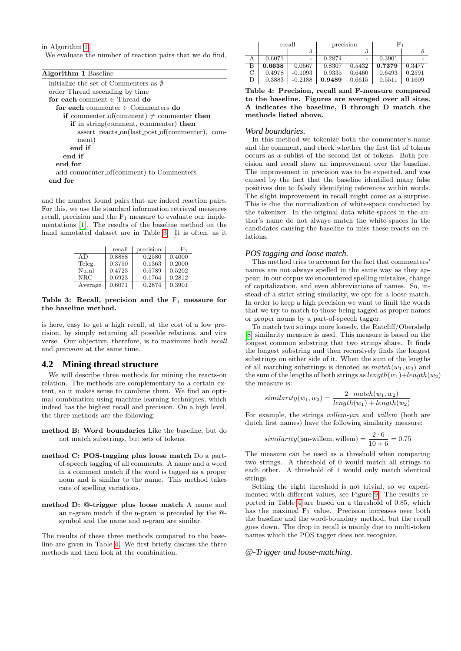in Algorithm [1.](#page-5-0)

We evaluate the number of reaction pairs that we do find,

| <b>Algorithm 1 Baseline</b>                     |
|-------------------------------------------------|
| initialize the set of Commenters as $\emptyset$ |
| order Thread ascending by time                  |
| for each comment $\in$ Thread do                |
| for each commenter $\in$ Commenters do          |
| if commenter_of(comment) $\neq$ commenter then  |
| if in_string(comment, commenter) then           |
| assert reacts_on(last_post_of(commenter), com-  |
| ment)                                           |
| end if                                          |
| end if                                          |
| end for                                         |
| add commenter_of(comment) to Commenters         |
| end for                                         |

<span id="page-5-0"></span>and the number found pairs that are indeed reaction pairs. For this, we use the standard information retrieval measures recall, precision and the  $F_1$  measure to evaluate our implementations [\[1\]](#page-7-8). The results of the baseline method on the hand annotated dataset are in Table [3.](#page-5-1) It is often, as it

|         | recall | precision | F1     |
|---------|--------|-----------|--------|
| AD      | 0.8888 | 0.2580    | 0.4000 |
| Teleg.  | 0.3750 | 0.1363    | 0.2000 |
| Nu.nl   | 0.4723 | 0.5789    | 0.5202 |
| NRC     | 0.6923 | 0.1764    | 0.2812 |
| Average | 0.6071 | 0.2874    | 0.3901 |

#### Table 3: Recall, precision and the  $F_1$  measure for the baseline method.

is here, easy to get a high recall, at the cost of a low precision, by simply returning all possible relations, and vice verse. Our objective, therefore, is to maximize both recall and precision at the same time.

#### **4.2 Mining thread structure**

We will describe three methods for mining the reacts-on relation. The methods are complementary to a certain extent, so it makes sense to combine them. We find an optimal combination using machine learning techniques, which indeed has the highest recall and precision. On a high level, the three methods are the following:

- method B: Word boundaries Like the baseline, but do not match substrings, but sets of tokens.
- method C: POS-tagging plus loose match Do a partof-speech tagging of all comments. A name and a word in a comment match if the word is tagged as a proper noun and is similar to the name. This method takes care of spelling variations.
- method D: @-trigger plus loose match A name and an n-gram match if the n-gram is preceded by the @ symbol and the name and n-gram are similar.

The results of these three methods compared to the baseline are given in Table [4.](#page-5-2) We first briefly discuss the three methods and then look at the combination.

<span id="page-5-2"></span>

|   | recall |                | precision |        | $_{\rm F_1}$ |        |
|---|--------|----------------|-----------|--------|--------------|--------|
|   |        | δ              |           |        |              |        |
| А | 0.6071 | $\overline{a}$ | 0.2874    |        | 0.3901       |        |
| В | 0.6638 | 0.0567         | 0.8307    | 0.5432 | 0.7379       | 0.3477 |
| С | 0.4978 | $-0.1093$      | 0.9335    | 0.6460 | 0.6493       | 0.2591 |
| D | 0.3883 | $-0.2188$      | 0.9489    | 0.6615 | 0.5511       | 0.1609 |

Table 4: Precision, recall and F-measure compared to the baseline. Figures are averaged over all sites. A indicates the baseline, B through D match the methods listed above.

#### *Word boundaries.*

In this method we tokenize both the commenter's name and the comment, and check whether the first list of tokens occurs as a sublist of the second list of tokens. Both precision and recall show an improvement over the baseline. The improvement in precision was to be expected, and was caused by the fact that the baseline identified many false positives due to falsely identifying references within words. The slight improvement in recall might come as a surprise. This is due the normalization of white-space conducted by the tokenizer. In the original data white-spaces in the author's name do not always match the white-spaces in the candidates causing the baseline to miss these reacts-on relations.

#### *POS tagging and loose match.*

<span id="page-5-1"></span>This method tries to account for the fact that commenters' names are not always spelled in the same way as they appear: in our corpus we encountered spelling mistakes, change of capitalization, and even abbreviations of names. So, instead of a strict string similarity, we opt for a loose match. In order to keep a high precision we want to limit the words that we try to match to those being tagged as proper names or proper nouns by a part-of-speech tagger.

To match two strings more loosely, the Ratcliff/Obershelp [\[8\]](#page-7-9) similarity measure is used. This measure is based on the longest common substring that two strings share. It finds the longest substring and then recursively finds the longest substrings on either side of it. When the sum of the lengths of all matching substrings is denoted as  $match(w_1, w_2)$  and the sum of the lengths of both strings as  $length(w_1)+length(w_2)$ the measure is:

$$
similarity(w_1, w_2) = \frac{2 \cdot match(w_1, w_2)}{length(w_1) + length(w_2)}
$$

For example, the strings willem-jan and willem (both are dutch first names) have the following similarity measure:

$$
similarity(\text{jan-willem}, \text{willem}) = \frac{2 \cdot 6}{10 + 6} = 0.75
$$

The measure can be used as a threshold when comparing two strings. A threshold of 0 would match all strings to each other. A threshold of 1 would only match identical strings.

Setting the right threshold is not trivial, so we experimented with different values, see Figure [9.](#page-6-0) The results reported in Table [4](#page-5-2) are based on a threshold of 0.85, which has the maximal  $F_1$  value. Precision increases over both the baseline and the word-boundary method, but the recall goes down. The drop in recall is mainly due to multi-token names which the POS tagger does not recognize.

#### *@-Trigger and loose-matching.*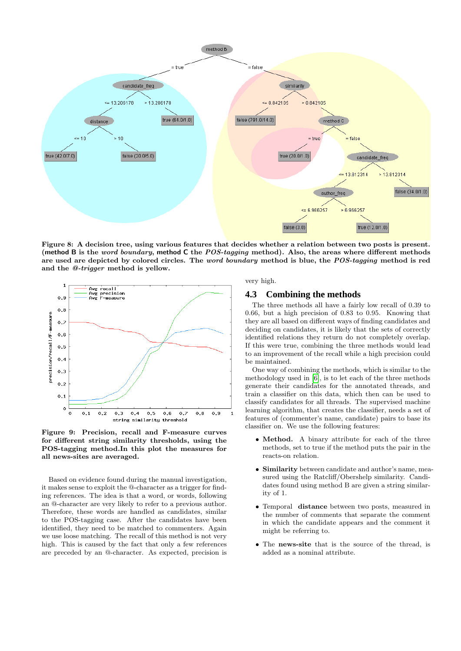

Figure 8: A decision tree, using various features that decides whether a relation between two posts is present. (method B is the word boundary, method C the POS-tagging method). Also, the areas where different methods are used are depicted by colored circles. The *word boundary* method is blue, the POS-tagging method is red and the @-trigger method is yellow.



<span id="page-6-0"></span>Figure 9: Precision, recall and F-measure curves for different string similarity thresholds, using the POS-tagging method.In this plot the measures for all news-sites are averaged.

Based on evidence found during the manual investigation, it makes sense to exploit the @-character as a trigger for finding references. The idea is that a word, or words, following an @-character are very likely to refer to a previous author. Therefore, these words are handled as candidates, similar to the POS-tagging case. After the candidates have been identified, they need to be matched to commenters. Again we use loose matching. The recall of this method is not very high. This is caused by the fact that only a few references are preceded by an @-character. As expected, precision is <span id="page-6-1"></span>very high.

# **4.3 Combining the methods**

The three methods all have a fairly low recall of 0.39 to 0.66, but a high precision of 0.83 to 0.95. Knowing that they are all based on different ways of finding candidates and deciding on candidates, it is likely that the sets of correctly identified relations they return do not completely overlap. If this were true, combining the three methods would lead to an improvement of the recall while a high precision could be maintained.

One way of combining the methods, which is similar to the methodology used in [\[6\]](#page-7-7), is to let each of the three methods generate their candidates for the annotated threads, and train a classifier on this data, which then can be used to classify candidates for all threads. The supervised machine learning algorithm, that creates the classifier, needs a set of features of (commenter's name, candidate) pairs to base its classifier on. We use the following features:

- Method. A binary attribute for each of the three methods, set to true if the method puts the pair in the reacts-on relation.
- Similarity between candidate and author's name, measured using the Ratcliff/Obershelp similarity. Candidates found using method B are given a string similarity of 1.
- Temporal distance between two posts, measured in the number of comments that separate the comment in which the candidate appears and the comment it might be referring to.
- The news-site that is the source of the thread, is added as a nominal attribute.